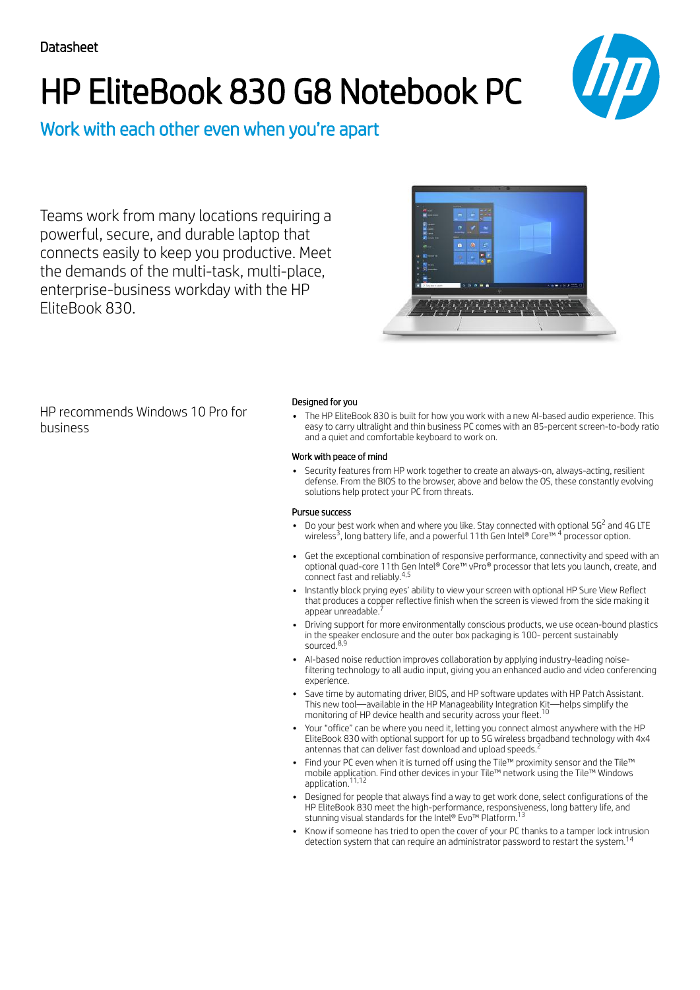# HP EliteBook 830 G8 Notebook PC



Work with each other even when you're apart

Teams work from many locations requiring a powerful, secure, and durable laptop that connects easily to keep you productive. Meet the demands of the multi-task, multi-place, enterprise-business workday with the HP EliteBook 830.



HP recommends Windows 10 Pro for business

## Designed for you

The HP EliteBook 830 is built for how you work with a new AI-based audio experience. This easy to carry ultralight and thin business PC comes with an 85-percent screen-to-body ratio and a quiet and comfortable keyboard to work on.

## Work with peace of mind

Security features from HP work together to create an always-on, always-acting, resilient defense. From the BIOS to the browser, above and below the OS, these constantly evolving solutions help protect your PC from threats.

## Pursue success

- Do your best work when and where you like. Stay connected with optional 5G<sup>2</sup> and 4G LTE wireless<sup>3</sup>, long battery life, and a powerful 11th Gen Intel® Core™  $^4$  processor option.
- Get the exceptional combination of responsive performance, connectivity and speed with an optional quad-core 11th Gen Intel® Core™ vPro® processor that lets you launch, create, and connect fast and reliably. 4,5
- Instantly block prying eyes' ability to view your screen with optional HP Sure View Reflect that produces a copper reflective finish when the screen is viewed from the side making it<br>appear unreadable <sup>7</sup> appear unreadable.
- Driving support for more environmentally conscious products, we use ocean-bound plastics in the speaker enclosure and the outer box packaging is 100- percent sustainably sourced. 8,9
- AI-based noise reduction improves collaboration by applying industry-leading noisefiltering technology to all audio input, giving you an enhanced audio and video conferencing experience.
- Save time by automating driver, BIOS, and HP software updates with HP Patch Assistant. This new tool—available in the HP Manageability Integration Kit—helps simplify the monitoring of HP device health and security across your fleet. 10
- Your "office" can be where you need it, letting you connect almost anywhere with the HP EliteBook 830 with optional support for up to 5G wireless broadband technology with 4x4 antennas that can deliver fast download and upload speeds. 2
- Find your PC even when it is turned off using the Tile™ proximity sensor and the Tile™ mobile application. Find other devices in your Tile™ network using the Tile™ Windows application. 11,12
- Designed for people that always find a way to get work done, select configurations of the HP EliteBook 830 meet the high-performance, responsiveness, long battery life, and stunning visual standards for the Intel® Evo™ Platform.<sup>13</sup>
- Know if someone has tried to open the cover of your PC thanks to a tamper lock intrusion detection system that can require an administrator password to restart the system.<sup>14</sup>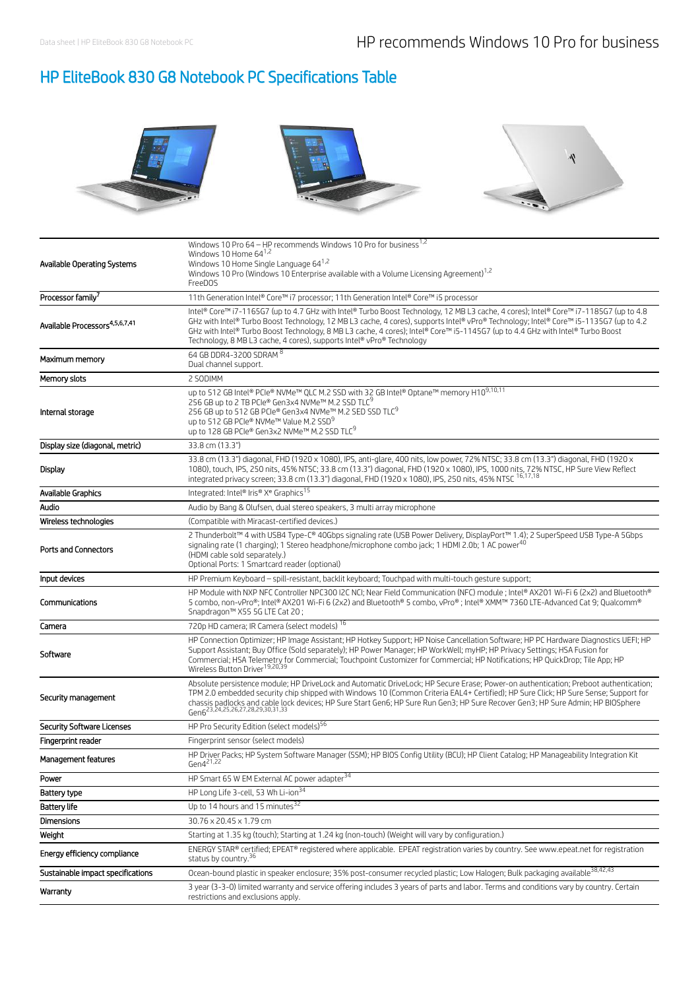# HP EliteBook 830 G8 Notebook PC Specifications Table



| Available Operating Systems                | Windows 10 Pro 64 – HP recommends Windows 10 Pro for business $^{1,2}$<br>Windows 10 Home $64^{1,2}$<br>Windows 10 Home Single Language 64 <sup>1,2</sup><br>Windows 10 Pro (Windows 10 Enterprise available with a Volume Licensing Agreement) <sup>1,2</sup><br>FreeDOS                                                                                                                                                                                                                 |  |  |
|--------------------------------------------|-------------------------------------------------------------------------------------------------------------------------------------------------------------------------------------------------------------------------------------------------------------------------------------------------------------------------------------------------------------------------------------------------------------------------------------------------------------------------------------------|--|--|
| Processor family <sup>7</sup>              | 11th Generation Intel® Core™ i7 processor; 11th Generation Intel® Core™ i5 processor                                                                                                                                                                                                                                                                                                                                                                                                      |  |  |
| Available Processors <sup>4,5,6,7,41</sup> | Intel® Core™ i7-1165G7 (up to 4.7 GHz with Intel® Turbo Boost Technology, 12 MB L3 cache, 4 cores); Intel® Core™ i7-1185G7 (up to 4.8<br>GHz with Intel® Turbo Boost Technology, 12 MB L3 cache, 4 cores), supports Intel® vPro® Technology; Intel® Core™ i5-1135G7 (up to 4.2<br>GHz with Intel® Turbo Boost Technology, 8 MB L3 cache, 4 cores); Intel® Core™ i5-1145G7 (up to 4.4 GHz with Intel® Turbo Boost<br>Technology, 8 MB L3 cache, 4 cores), supports Intel® vPro® Technology |  |  |
| Maximum memory                             | 64 GB DDR4-3200 SDRAM 8<br>Dual channel support.                                                                                                                                                                                                                                                                                                                                                                                                                                          |  |  |
| Memory slots                               | 2 SODIMM                                                                                                                                                                                                                                                                                                                                                                                                                                                                                  |  |  |
| Internal storage                           | up to 512 GB Intel® PCIe® NVMe™ QLC M.2 SSD with 32 GB Intel® Optane™ memory H109,10,11<br>256 GB up to 2 TB PCIe® Gen3x4 NVMe™ M.2 SSD TLC <sup>9</sup><br>256 GB up to 512 GB PCIe® Gen3x4 NVMe™ M.2 SED SSD TLC <sup>9</sup><br>up to 512 GB PCIe® NVMe™ Value M.2 SSD <sup>9</sup><br>up to 128 GB PCIe® Gen3x2 NVMe™ M.2 SSD TLC <sup>9</sup>                                                                                                                                        |  |  |
| Display size (diagonal, metric)            | 33.8 cm (13.3")                                                                                                                                                                                                                                                                                                                                                                                                                                                                           |  |  |
| Display                                    | 33.8 cm (13.3") diagonal, FHD (1920 x 1080), IPS, anti-glare, 400 nits, low power, 72% NTSC; 33.8 cm (13.3") diagonal, FHD (1920 x<br>1080), touch, IPS, 250 nits, 45% NTSC; 33.8 cm (13.3") diagonal, FHD (1920 x 1080), IPS, 1000 nits, 72% NTSC, HP Sure View Reflect<br>integrated privacy screen; 33.8 cm (13.3") diagonal, FHD (1920 x 1080), IPS, 250 nits, 45% NTSC 16,17,18                                                                                                      |  |  |
| Available Graphics                         | Integrated: Intel® Iris® X <sup>e</sup> Graphics <sup>15</sup>                                                                                                                                                                                                                                                                                                                                                                                                                            |  |  |
| Audio                                      | Audio by Bang & Olufsen, dual stereo speakers, 3 multi array microphone                                                                                                                                                                                                                                                                                                                                                                                                                   |  |  |
| Wireless technologies                      | (Compatible with Miracast-certified devices.)                                                                                                                                                                                                                                                                                                                                                                                                                                             |  |  |
| <b>Ports and Connectors</b>                | 2 Thunderbolt™ 4 with USB4 Type-C® 40Gbps signaling rate (USB Power Delivery, DisplayPort™ 1.4); 2 SuperSpeed USB Type-A 5Gbps<br>signaling rate (1 charging); 1 Stereo headphone/microphone combo jack; 1 HDMI 2.0b; 1 AC power <sup>40</sup><br>(HDMI cable sold separately.)<br>Optional Ports: 1 Smartcard reader (optional)                                                                                                                                                          |  |  |
| Input devices                              | HP Premium Keyboard - spill-resistant, backlit keyboard; Touchpad with multi-touch gesture support;                                                                                                                                                                                                                                                                                                                                                                                       |  |  |
|                                            | HP Module with NXP NFC Controller NPC300 I2C NCI; Near Field Communication (NFC) module ; Intel® AX201 Wi-Fi 6 (2x2) and Bluetooth®                                                                                                                                                                                                                                                                                                                                                       |  |  |
| Communications                             | 5 combo, non-vPro®; Intel® AX201 Wi-Fi 6 (2x2) and Bluetooth® 5 combo, vPro®; Intel® XMM™ 7360 LTE-Advanced Cat 9; Qualcomm®<br>Snapdragon™ X55 5G LTE Cat 20;                                                                                                                                                                                                                                                                                                                            |  |  |
| Camera                                     | 720p HD camera; IR Camera (select models) 16                                                                                                                                                                                                                                                                                                                                                                                                                                              |  |  |
| Software                                   | HP Connection Optimizer; HP Image Assistant; HP Hotkey Support; HP Noise Cancellation Software; HP PC Hardware Diagnostics UEFI; HP<br>Support Assistant; Buy Office (Sold separately); HP Power Manager; HP WorkWell; myHP; HP Privacy Settings; HSA Fusion for<br>Commercial; HSA Telemetry for Commercial; Touchpoint Customizer for Commercial; HP Notifications; HP QuickDrop; Tile App; HP<br>Wireless Button Driver <sup>19,20,39</sup>                                            |  |  |
| Security management                        | Absolute persistence module; HP DriveLock and Automatic DriveLock; HP Secure Erase; Power-on authentication; Preboot authentication;<br>TPM 2.0 embedded security chip shipped with Windows 10 (Common Criteria EAL4+ Certified); HP Sure Click; HP Sure Sense; Support for<br>chassis padlocks and cable lock devices; HP Sure Start Gen6; HP Sure Run Gen3; HP Sure Recover Gen3; HP Sure Admin; HP BIOSphere<br>Gen6 <sup>23,24,25,26,27,28,29,30,31,33</sup>                          |  |  |
| <b>Security Software Licenses</b>          | HP Pro Security Edition (select models) <sup>56</sup>                                                                                                                                                                                                                                                                                                                                                                                                                                     |  |  |
| Fingerprint reader                         | Fingerprint sensor (select models)                                                                                                                                                                                                                                                                                                                                                                                                                                                        |  |  |
| Management features                        | HP Driver Packs; HP System Software Manager (SSM); HP BIOS Config Utility (BCU); HP Client Catalog; HP Manageability Integration Kit<br>$Gen4^{21,22}$                                                                                                                                                                                                                                                                                                                                    |  |  |
| Power                                      | HP Smart 65 W EM External AC power adapter <sup>34</sup>                                                                                                                                                                                                                                                                                                                                                                                                                                  |  |  |
| Battery type                               | HP Long Life 3-cell, 53 Wh Li-ion <sup>34</sup>                                                                                                                                                                                                                                                                                                                                                                                                                                           |  |  |
| <b>Battery life</b>                        | Up to 14 hours and 15 minutes <sup>32</sup>                                                                                                                                                                                                                                                                                                                                                                                                                                               |  |  |
| Dimensions                                 | 30.76 x 20.45 x 1.79 cm                                                                                                                                                                                                                                                                                                                                                                                                                                                                   |  |  |
| Weight                                     | Starting at 1.35 kg (touch); Starting at 1.24 kg (non-touch) (Weight will vary by configuration.)                                                                                                                                                                                                                                                                                                                                                                                         |  |  |
| Energy efficiency compliance               | ENERGY STAR® certified; EPEAT® registered where applicable. EPEAT registration varies by country. See www.epeat.net for registration<br>status by country. <sup>36</sup>                                                                                                                                                                                                                                                                                                                  |  |  |
| Sustainable impact specifications          | Ocean-bound plastic in speaker enclosure; 35% post-consumer recycled plastic; Low Halogen; Bulk packaging available <sup>38,42,43</sup><br>3 year (3-3-0) limited warranty and service offering includes 3 years of parts and labor. Terms and conditions vary by country. Certain                                                                                                                                                                                                        |  |  |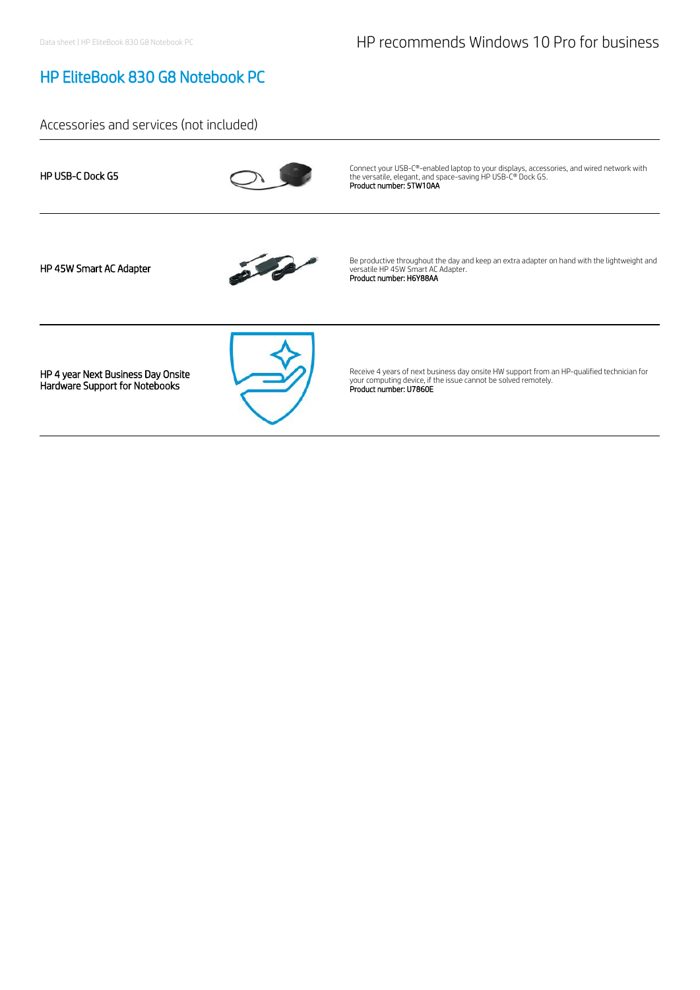## HP EliteBook 830 G8 Notebook PC

## Accessories and services (not included)

| <b>HP USB-C Dock G5</b>                                              | Connect your USB-C®-enabled laptop to your displays, accessories, and wired network with<br>the versatile, elegant, and space-saving HP USB-C® Dock G5.<br>Product number: 5TW10AA     |
|----------------------------------------------------------------------|----------------------------------------------------------------------------------------------------------------------------------------------------------------------------------------|
| HP 45W Smart AC Adapter                                              | Be productive throughout the day and keep an extra adapter on hand with the lightweight and<br>versatile HP 45W Smart AC Adapter.<br>Product number: H6Y88AA                           |
| HP 4 year Next Business Day Onsite<br>Hardware Support for Notebooks | Receive 4 years of next business day onsite HW support from an HP-qualified technician for<br>your computing device, if the issue cannot be solved remotely.<br>Product number: U7860E |